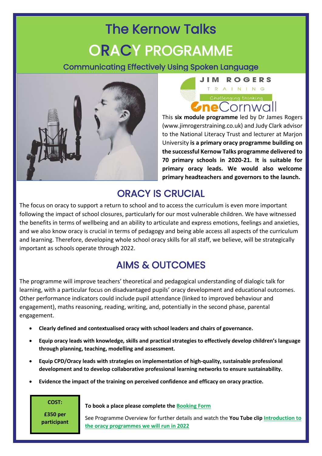## The Kernow Talks ORACY PROGRAMME

Communicating Effectively Using Spoken Language





This **six module programme** led by Dr James Rogers [\(www.jimrogerstraining.co.uk\)](http://www.jimrogerstraining.co.uk/) and Judy Clark advisor to the National Literacy Trust and lecturer at Marjon University **is a primary oracy programme building on the successful Kernow Talks programme delivered to 70 primary schools in 2020-21. It is suitable for primary oracy leads. We would also welcome primary headteachers and governors to the launch.**

## ORACY IS CRUCIAL

The focus on oracy to support a return to school and to access the curriculum is even more important following the impact of school closures, particularly for our most vulnerable children. We have witnessed the benefits in terms of wellbeing and an ability to articulate and express emotions, feelings and anxieties, and we also know oracy is crucial in terms of pedagogy and being able access all aspects of the curriculum and learning. Therefore, developing whole school oracy skills for all staff, we believe, will be strategically important as schools operate through 2022.

## AIMS & OUTCOMES

The programme will improve teachers' theoretical and pedagogical understanding of dialogic talk for learning, with a particular focus on disadvantaged pupils' oracy development and educational outcomes. Other performance indicators could include pupil attendance (linked to improved behaviour and engagement), maths reasoning, reading, writing, and, potentially in the second phase, parental engagement.

- **Clearly defined and contextualised oracy with school leaders and chairs of governance.**
- **Equip oracy leads with knowledge, skills and practical strategies to effectively develop children's language through planning, teaching, modelling and assessment.**
- **Equip CPD/Oracy leads with strategies on implementation of high-quality, sustainable professional development and to develop collaborative professional learning networks to ensure sustainability.**
- **Evidence the impact of the training on perceived confidence and efficacy on oracy practice.**

**COST:**

**£350 per participant** **To book a place please complete the [Booking Form](https://forms.office.com/Pages/ResponsePage.aspx?id=OaOYNWjRFEKoP-8VwG17mJ-MTDcjGstOns6BYhRmTC9UNzdNU1JKRjFZNzZSMlcxNlVFU1QyT1k5MC4u&wdLOR=c65429B63-5CD5-4522-B5E2-9A0094F7733B)**

See Programme Overview for further details and watch the **You Tube cli[p Introduction to](https://www.youtube.com/watch?v=iYtgKLP_AOU)  [the oracy programmes we will run in 2022](https://www.youtube.com/watch?v=iYtgKLP_AOU)**